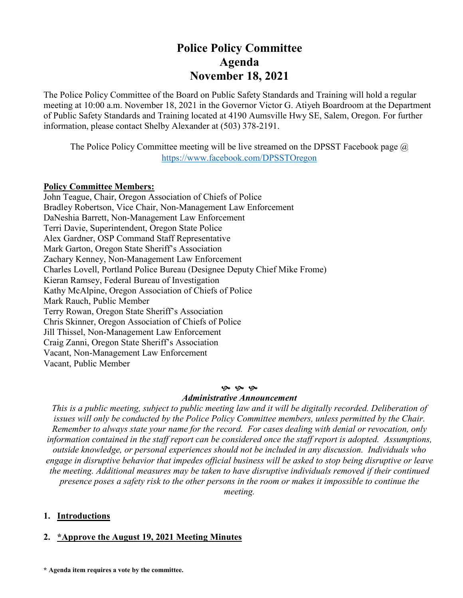# **Police Policy Committee Agenda November 18, 2021**

The Police Policy Committee of the Board on Public Safety Standards and Training will hold a regular meeting at 10:00 a.m. November 18, 2021 in the Governor Victor G. Atiyeh Boardroom at the Department of Public Safety Standards and Training located at 4190 Aumsville Hwy SE, Salem, Oregon. For further information, please contact Shelby Alexander at (503) 378-2191.

The Police Policy Committee meeting will be live streamed on the DPSST Facebook page  $\omega$ <https://www.facebook.com/DPSSTOregon>

### **Policy Committee Members:**

John Teague, Chair, Oregon Association of Chiefs of Police Bradley Robertson, Vice Chair, Non-Management Law Enforcement DaNeshia Barrett, Non-Management Law Enforcement Terri Davie, Superintendent, Oregon State Police Alex Gardner, OSP Command Staff Representative Mark Garton, Oregon State Sheriff's Association Zachary Kenney, Non-Management Law Enforcement Charles Lovell, Portland Police Bureau (Designee Deputy Chief Mike Frome) Kieran Ramsey, Federal Bureau of Investigation Kathy McAlpine, Oregon Association of Chiefs of Police Mark Rauch, Public Member Terry Rowan, Oregon State Sheriff's Association Chris Skinner, Oregon Association of Chiefs of Police Jill Thissel, Non-Management Law Enforcement Craig Zanni, Oregon State Sheriff's Association Vacant, Non-Management Law Enforcement Vacant, Public Member

#### **9** 9 9

### *Administrative Announcement*

*This is a public meeting, subject to public meeting law and it will be digitally recorded. Deliberation of issues will only be conducted by the Police Policy Committee members, unless permitted by the Chair. Remember to always state your name for the record. For cases dealing with denial or revocation, only information contained in the staff report can be considered once the staff report is adopted. Assumptions, outside knowledge, or personal experiences should not be included in any discussion. Individuals who engage in disruptive behavior that impedes official business will be asked to stop being disruptive or leave the meeting. Additional measures may be taken to have disruptive individuals removed if their continued presence poses a safety risk to the other persons in the room or makes it impossible to continue the meeting.*

### **1. Introductions**

## **2. \*Approve the August 19, 2021 Meeting Minutes**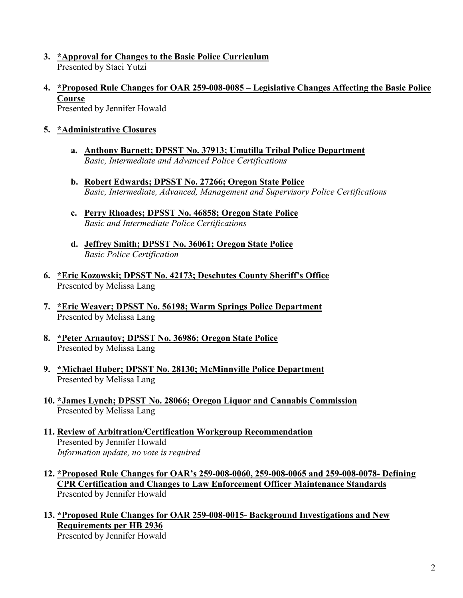- **3. \*Approval for Changes to the Basic Police Curriculum** Presented by Staci Yutzi
- **4. \*Proposed Rule Changes for OAR 259-008-0085 – Legislative Changes Affecting the Basic Police Course** Presented by Jennifer Howald

- **5. \*Administrative Closures** 
	- **a. Anthony Barnett; DPSST No. 37913; Umatilla Tribal Police Department** *Basic, Intermediate and Advanced Police Certifications*
	- **b. Robert Edwards; DPSST No. 27266; Oregon State Police** *Basic, Intermediate, Advanced, Management and Supervisory Police Certifications*
	- **c. Perry Rhoades; DPSST No. 46858; Oregon State Police** *Basic and Intermediate Police Certifications*
	- **d. Jeffrey Smith; DPSST No. 36061; Oregon State Police** *Basic Police Certification*
- **6. \*Eric Kozowski; DPSST No. 42173; Deschutes County Sheriff's Office** Presented by Melissa Lang
- **7. \*Eric Weaver; DPSST No. 56198; Warm Springs Police Department** Presented by Melissa Lang
- **8. \*Peter Arnautov; DPSST No. 36986; Oregon State Police** Presented by Melissa Lang
- **9. \*Michael Huber; DPSST No. 28130; McMinnville Police Department** Presented by Melissa Lang
- **10. \*James Lynch; DPSST No. 28066; Oregon Liquor and Cannabis Commission** Presented by Melissa Lang
- **11. Review of Arbitration/Certification Workgroup Recommendation** Presented by Jennifer Howald *Information update, no vote is required*
- **12. \*Proposed Rule Changes for OAR's 259-008-0060, 259-008-0065 and 259-008-0078- Defining CPR Certification and Changes to Law Enforcement Officer Maintenance Standards** Presented by Jennifer Howald
- **13. \*Proposed Rule Changes for OAR 259-008-0015- Background Investigations and New Requirements per HB 2936**

Presented by Jennifer Howald